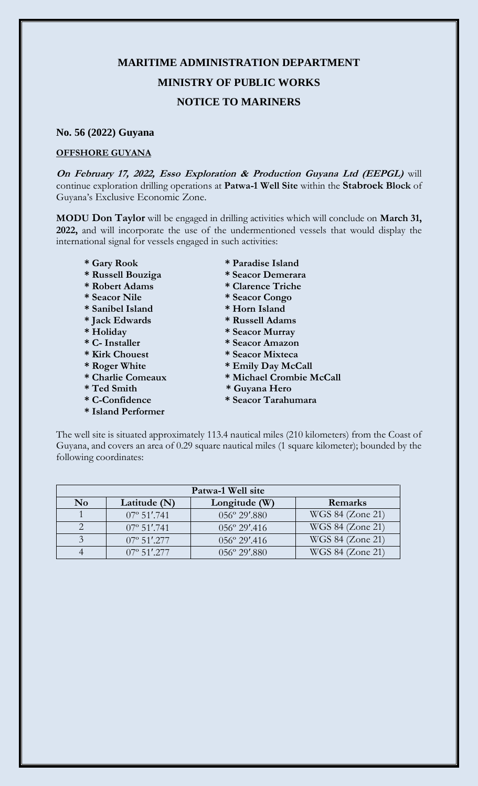## **MARITIME ADMINISTRATION DEPARTMENT MINISTRY OF PUBLIC WORKS NOTICE TO MARINERS**

## **No. 56 (2022) Guyana**

## **OFFSHORE GUYANA**

**On February 17, 2022, Esso Exploration & Production Guyana Ltd (EEPGL)** will continue exploration drilling operations at **Patwa-1 Well Site** within the **Stabroek Block** of Guyana's Exclusive Economic Zone.

**MODU Don Taylor** will be engaged in drilling activities which will conclude on **March 31, 2022,** and will incorporate the use of the undermentioned vessels that would display the international signal for vessels engaged in such activities:

- 
- **\* Russell Bouziga \* Seacor Demerara**
- **\* Robert Adams \* Clarence Triche**
- **\* Seacor Nile \* Seacor Congo**
- **\* Sanibel Island \* Horn Island**
- **\* Jack Edwards \* Russell Adams**
- 
- 
- 
- 
- 
- 
- 
- **\* Island Performer**
- **\* Gary Rook \* Paradise Island**
	-
	-
	-
	-
	-
- **\* Holiday \* Seacor Murray**
- **\* C- Installer \* Seacor Amazon**
- **\* Kirk Chouest \* Seacor Mixteca** 
	-
- \* Roger White \* Emily Day McCall<br>\* Charlie Comeaux \* Michael Crombie N  $*$  Michael Crombie McCall
- **\* Ted Smith \* Guyana Hero**
- **\* C-Confidence \* Seacor Tarahumara**

The well site is situated approximately 113.4 nautical miles (210 kilometers) from the Coast of Guyana, and covers an area of 0.29 square nautical miles (1 square kilometer); bounded by the following coordinates:

| Patwa-1 Well site |                      |                        |                  |
|-------------------|----------------------|------------------------|------------------|
| N <sub>0</sub>    | Latitude (N)         | Longitude (W)          | Remarks          |
|                   | $07^{\circ}$ 51'.741 | $056^{\circ} 29'$ .880 | WGS 84 (Zone 21) |
|                   | $07^{\circ}$ 51'.741 | $056^{\circ} 29'$ .416 | WGS 84 (Zone 21) |
|                   | $07^{\circ}$ 51'.277 | $056^{\circ} 29'$ .416 | WGS 84 (Zone 21) |
|                   | $07^{\circ}$ 51'.277 | $0.56^{\circ}$ 29'.880 | WGS 84 (Zone 21) |